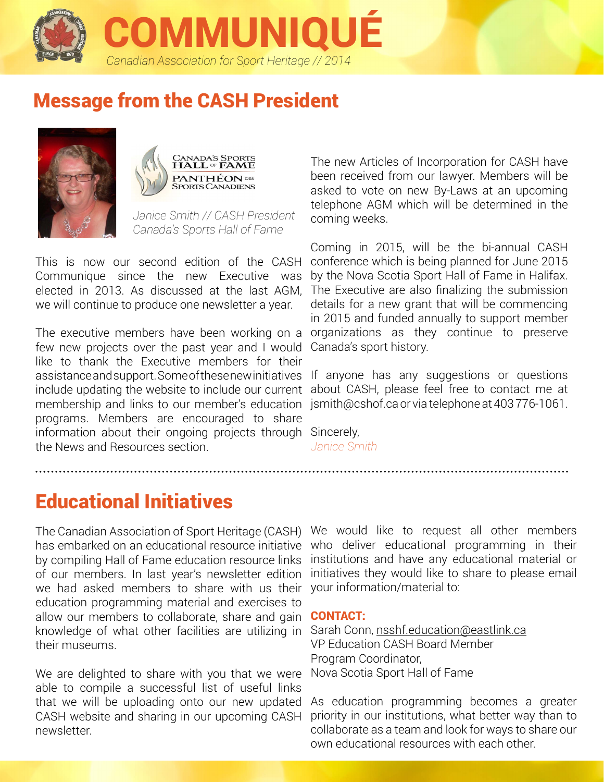

# Message from the CASH President





*Janice Smith // CASH President Canada's Sports Hall of Fame*

This is now our second edition of the CASH Communique since the new Executive was elected in 2013. As discussed at the last AGM, we will continue to produce one newsletter a year.

The executive members have been working on a organizations as they continue to preserve few new projects over the past year and I would like to thank the Executive members for their assistance and support. Some of thesenew initiatives If anyone has any suggestions or questions include updating the website to include our current about CASH, please feel free to contact me at membership and links to our member's education jsmith@cshof.ca or via telephone at 403 776-1061. programs. Members are encouraged to share information about their ongoing projects through Sincerely, the News and Resources section.

The new Articles of Incorporation for CASH have been received from our lawyer. Members will be asked to vote on new By-Laws at an upcoming telephone AGM which will be determined in the coming weeks.

Coming in 2015, will be the bi-annual CASH conference which is being planned for June 2015 by the Nova Scotia Sport Hall of Fame in Halifax. The Executive are also finalizing the submission details for a new grant that will be commencing in 2015 and funded annually to support member Canada's sport history.

*Janice Smith*

# Educational Initiatives

The Canadian Association of Sport Heritage (CASH) has embarked on an educational resource initiative by compiling Hall of Fame education resource links of our members. In last year's newsletter edition we had asked members to share with us their your information/material to: education programming material and exercises to allow our members to collaborate, share and gain knowledge of what other facilities are utilizing in their museums.

We are delighted to share with you that we were able to compile a successful list of useful links that we will be uploading onto our new updated CASH website and sharing in our upcoming CASH newsletter.

We would like to request all other members who deliver educational programming in their institutions and have any educational material or initiatives they would like to share to please email

### CONTACT:

Sarah Conn, [nsshf.education@eastlink.ca](nsshf.education%40eastlink.ca) VP Education CASH Board Member Program Coordinator, Nova Scotia Sport Hall of Fame

As education programming becomes a greater priority in our institutions, what better way than to collaborate as a team and look for ways to share our own educational resources with each other.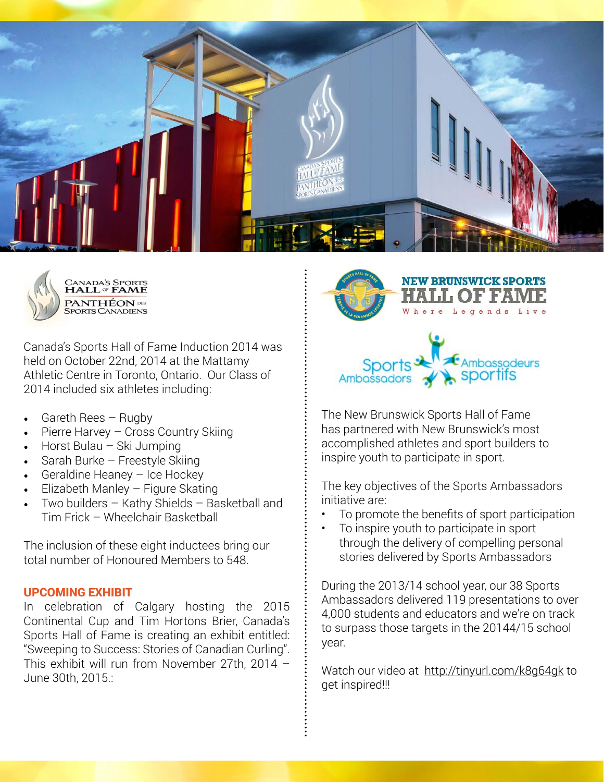



Canada's Sports Hall of Fame Induction 2014 was held on October 22nd, 2014 at the Mattamy Athletic Centre in Toronto, Ontario. Our Class of 2014 included six athletes including:

- Gareth Rees  $-$  Rugby
- Pierre Harvey Cross Country Skiing
- Horst Bulau Ski Jumping
- Sarah Burke Freestyle Skiing
- Geraldine Heaney  $-$  Ice Hockey
- $E$ lizabeth Manley Figure Skating
- Two builders  $-$  Kathy Shields  $-$  Basketball and Tim Frick – Wheelchair Basketball

The inclusion of these eight inductees bring our total number of Honoured Members to 548.

### upcoming exhibit

In celebration of Calgary hosting the 2015 Continental Cup and Tim Hortons Brier, Canada's Sports Hall of Fame is creating an exhibit entitled: "Sweeping to Success: Stories of Canadian Curling". This exhibit will run from November 27th, 2014 – June 30th, 2015.:





**NEW BRUNSWICK SPORTS** 

Legends Live

The New Brunswick Sports Hall of Fame has partnered with New Brunswick's most accomplished athletes and sport builders to inspire youth to participate in sport.

The key objectives of the Sports Ambassadors initiative are:

- To promote the benefits of sport participation
- To inspire youth to participate in sport through the delivery of compelling personal stories delivered by Sports Ambassadors

During the 2013/14 school year, our 38 Sports Ambassadors delivered 119 presentations to over 4,000 students and educators and we're on track to surpass those targets in the 20144/15 school year.

Watch our video at [http://tinyurl.com/k8g64gk](https://www.youtube.com/watch%3Fv%3DCZMvmNxvSyw) to get inspired!!!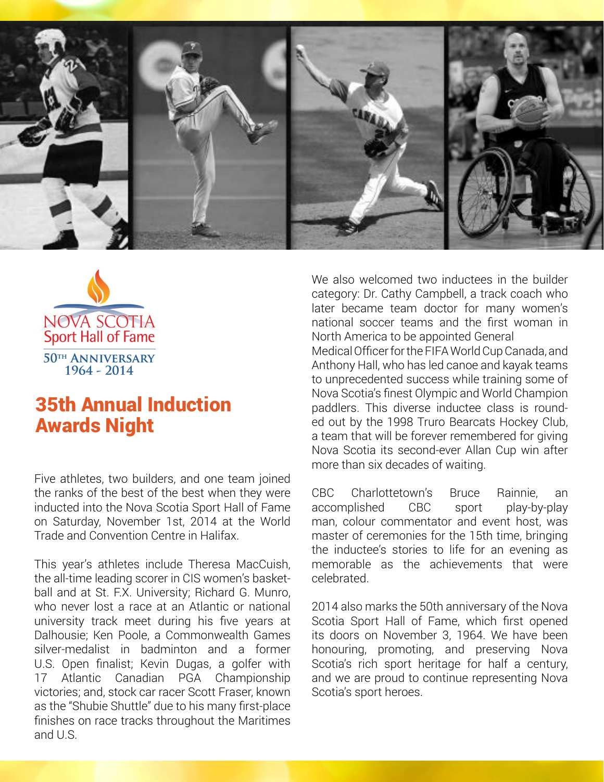



## 35th Annual Induction Awards Night

Five athletes, two builders, and one team joined the ranks of the best of the best when they were inducted into the Nova Scotia Sport Hall of Fame on Saturday, November 1st, 2014 at the World Trade and Convention Centre in Halifax.

This year's athletes include Theresa MacCuish, the all-time leading scorer in CIS women's basketball and at St. F.X. University; Richard G. Munro, who never lost a race at an Atlantic or national university track meet during his five years at Dalhousie; Ken Poole, a Commonwealth Games silver-medalist in badminton and a former U.S. Open finalist; Kevin Dugas, a golfer with 17 Atlantic Canadian PGA Championship victories; and, stock car racer Scott Fraser, known as the "Shubie Shuttle" due to his many first-place finishes on race tracks throughout the Maritimes and U.S.

We also welcomed two inductees in the builder category: Dr. Cathy Campbell, a track coach who later became team doctor for many women's national soccer teams and the first woman in North America to be appointed General Medical Officer for the FIFA World Cup Canada, and Anthony Hall, who has led canoe and kayak teams to unprecedented success while training some of Nova Scotia's finest Olympic and World Champion paddlers. This diverse inductee class is rounded out by the 1998 Truro Bearcats Hockey Club, a team that will be forever remembered for giving Nova Scotia its second-ever Allan Cup win after more than six decades of waiting.

CBC Charlottetown's Bruce Rainnie, an accomplished CBC sport play-by-play man, colour commentator and event host, was master of ceremonies for the 15th time, bringing the inductee's stories to life for an evening as memorable as the achievements that were celebrated.

2014 also marks the 50th anniversary of the Nova Scotia Sport Hall of Fame, which first opened its doors on November 3, 1964. We have been honouring, promoting, and preserving Nova Scotia's rich sport heritage for half a century, and we are proud to continue representing Nova Scotia's sport heroes.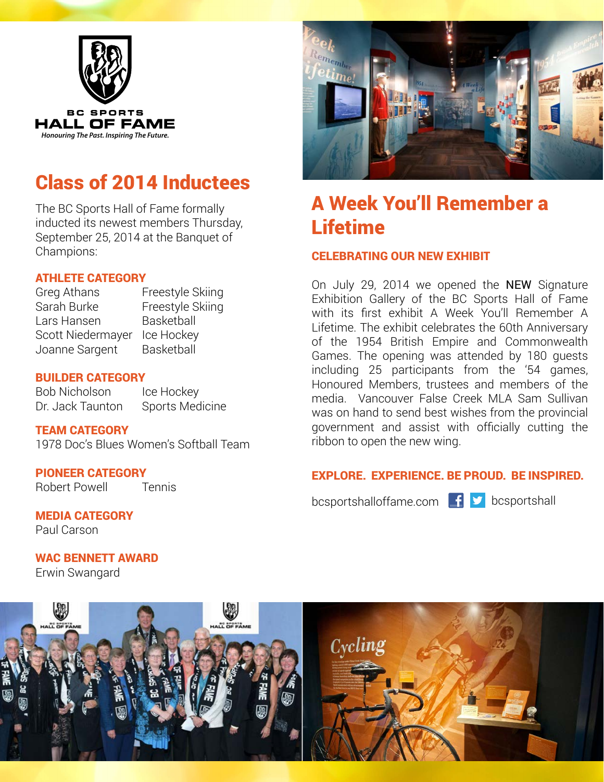

# Class of 2014 Inductees

The BC Sports Hall of Fame formally inducted its newest members Thursday, September 25, 2014 at the Banquet of Champions:

### ATHLETE CATEGORY

Greg Athans Freestyle Skiing Sarah Burke Freestyle Skiing Lars Hansen Basketball Scott Niedermayer Ice Hockey Joanne Sargent Basketball

### BUILDER CATEGORY

Bob Nicholson Ice Hockey Dr. Jack Taunton Sports Medicine

### TEAM CATEGORY

1978 Doc's Blues Women's Softball Team

## PIONEER CATEGORY

Robert Powell Tennis

MEDIA CATEGORY Paul Carson

WAC BENNETT AWARD Erwin Swangard



# A Week You'll Remember a Lifetime

### CELEBRATING OUR NEW EXHIBIT

On July 29, 2014 we opened the NEW Signature Exhibition Gallery of the BC Sports Hall of Fame with its first exhibit A Week You'll Remember A Lifetime. The exhibit celebrates the 60th Anniversary of the 1954 British Empire and Commonwealth Games. The opening was attended by 180 guests including 25 participants from the '54 games, Honoured Members, trustees and members of the media. Vancouver False Creek MLA Sam Sullivan was on hand to send best wishes from the provincial government and assist with officially cutting the ribbon to open the new wing.

### Explore. Experience. Be Proud. Be Inspired.

bcsportshalloffame.com  $\mathbf{f}$   $\mathbf{y}$  bcsportshall

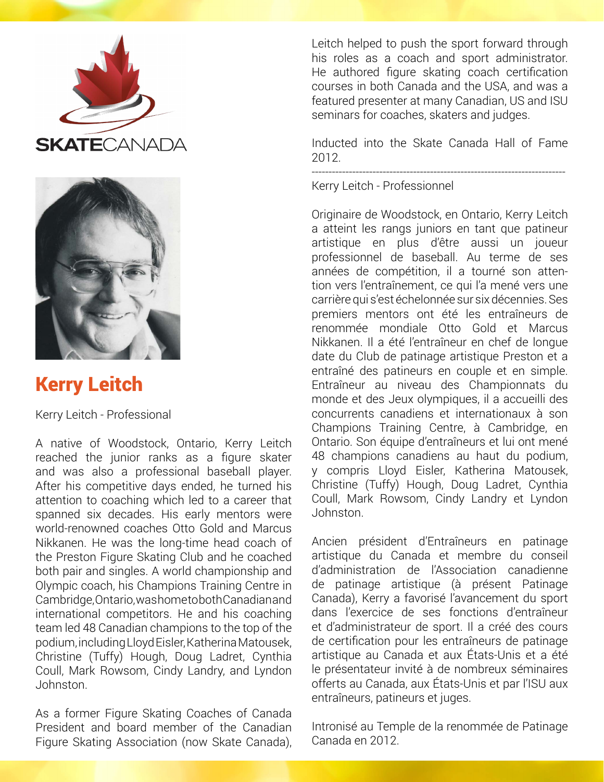



# Kerry Leitch

Kerry Leitch - Professional

A native of Woodstock, Ontario, Kerry Leitch reached the junior ranks as a figure skater and was also a professional baseball player. After his competitive days ended, he turned his attention to coaching which led to a career that spanned six decades. His early mentors were world-renowned coaches Otto Gold and Marcus Nikkanen. He was the long-time head coach of the Preston Figure Skating Club and he coached both pair and singles. A world championship and Olympic coach, his Champions Training Centre in Cambridge, Ontario, was home to both Canadian and international competitors. He and his coaching team led 48 Canadian champions to the top of the podium, including Lloyd Eisler, Katherina Matousek, Christine (Tuffy) Hough, Doug Ladret, Cynthia Coull, Mark Rowsom, Cindy Landry, and Lyndon Johnston.

As a former Figure Skating Coaches of Canada President and board member of the Canadian Figure Skating Association (now Skate Canada),

Leitch helped to push the sport forward through his roles as a coach and sport administrator. He authored figure skating coach certification courses in both Canada and the USA, and was a featured presenter at many Canadian, US and ISU seminars for coaches, skaters and judges.

Inducted into the Skate Canada Hall of Fame 2012.

---------------------------------------------------------------------------

Kerry Leitch - Professionnel

Originaire de Woodstock, en Ontario, Kerry Leitch a atteint les rangs juniors en tant que patineur artistique en plus d'être aussi un joueur professionnel de baseball. Au terme de ses années de compétition, il a tourné son attention vers l'entraînement, ce qui l'a mené vers une carrière qui s'est échelonnée sur six décennies. Ses premiers mentors ont été les entraîneurs de renommée mondiale Otto Gold et Marcus Nikkanen. Il a été l'entraîneur en chef de longue date du Club de patinage artistique Preston et a entraîné des patineurs en couple et en simple. Entraîneur au niveau des Championnats du monde et des Jeux olympiques, il a accueilli des concurrents canadiens et internationaux à son Champions Training Centre, à Cambridge, en Ontario. Son équipe d'entraîneurs et lui ont mené 48 champions canadiens au haut du podium, y compris Lloyd Eisler, Katherina Matousek, Christine (Tuffy) Hough, Doug Ladret, Cynthia Coull, Mark Rowsom, Cindy Landry et Lyndon Johnston.

Ancien président d'Entraîneurs en patinage artistique du Canada et membre du conseil d'administration de l'Association canadienne de patinage artistique (à présent Patinage Canada), Kerry a favorisé l'avancement du sport dans l'exercice de ses fonctions d'entraîneur et d'administrateur de sport. Il a créé des cours de certification pour les entraîneurs de patinage artistique au Canada et aux États-Unis et a été le présentateur invité à de nombreux séminaires offerts au Canada, aux États-Unis et par l'ISU aux entraîneurs, patineurs et juges.

Intronisé au Temple de la renommée de Patinage Canada en 2012.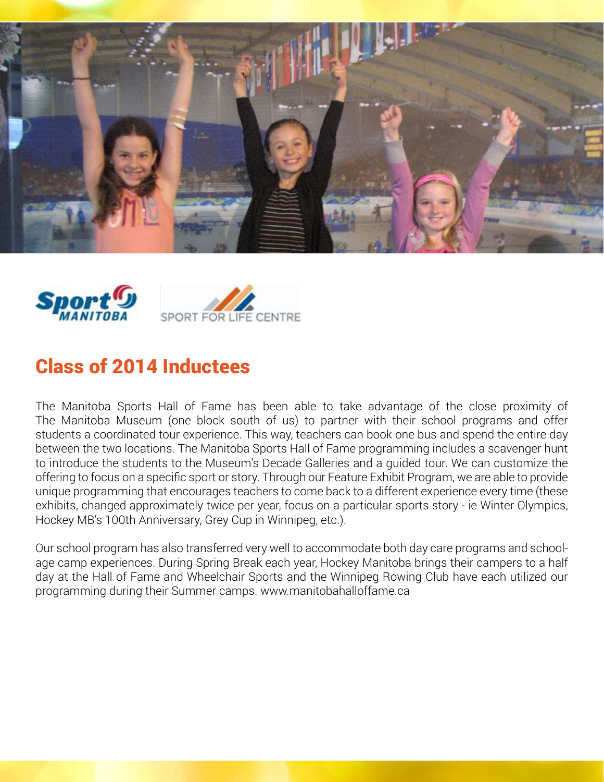



## Class of 2014 Inductees

The Manitoba Sports Hall of Fame has been able to take advantage of the close proximity of The Manitoba Museum (one block south of us) to partner with their school programs and offer students a coordinated tour experience. This way, teachers can book one bus and spend the entire day between the two locations. The Manitoba Sports Hall of Fame programming includes a scavenger hunt to introduce the students to the Museum's Decade Galleries and a guided tour. We can customize the offering to focus on a specific sport or story. Through our Feature Exhibit Program, we are able to provide unique programming that encourages teachers to come back to a different experience every time (these exhibits, changed approximately twice per year, focus on a particular sports story - ie Winter Olympics, Hockey MB's 100th Anniversary, Grey Cup in Winnipeg, etc.).

Our school program has also transferred very well to accommodate both day care programs and schoolage camp experiences. During Spring Break each year, Hockey Manitoba brings their campers to a half day at the Hall of Fame and Wheelchair Sports and the Winnipeg Rowing Club have each utilized our programming during their Summer camps. www.manitobahalloffame.ca